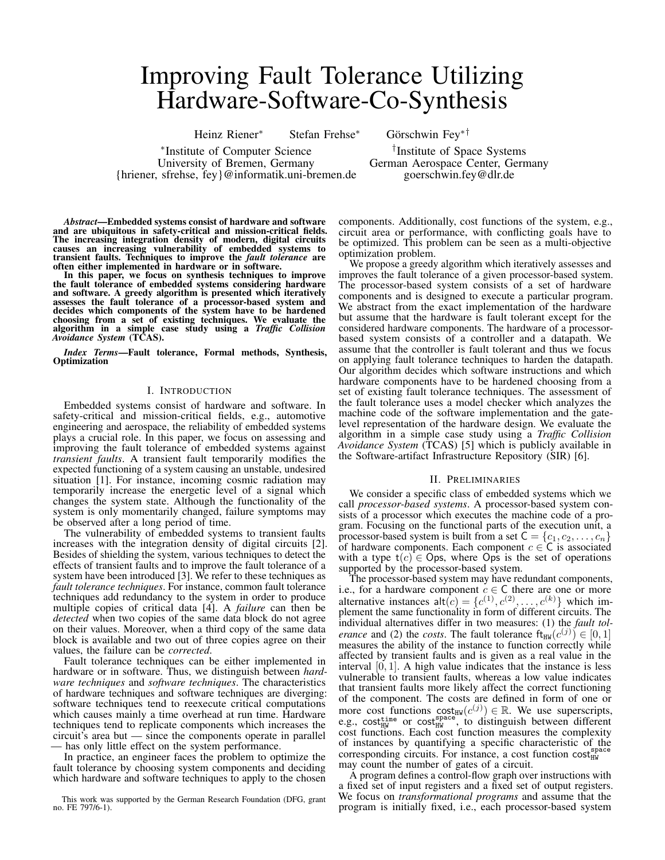# Improving Fault Tolerance Utilizing Hardware-Software-Co-Synthesis

Heinz Riener<sup>∗</sup> Stefan Frehse<sup>∗</sup> Görschwin Fey∗†

∗ Institute of Computer Science † University of Bremen, Germany German Aerospace Center, Germany {hriener, sfrehse, fey}@informatik.uni-bremen.de goerschwin.fey@dlr.de

<sup>†</sup>Institute of Space Systems

*Abstract*—Embedded systems consist of hardware and software and are ubiquitous in safety-critical and mission-critical fields. The increasing integration density of modern, digital circuits causes an increasing vulnerability of embedded systems to transient faults. Techniques to improve the *fault tolerance* are often either implemented in hardware or in software.

In this paper, we focus on synthesis techniques to improve the fault tolerance of embedded systems considering hardware and software. A greedy algorithm is presented which iteratively assesses the fault tolerance of a processor-based system and decides which components of the system have to be hardened choosing from a set of existing techniques. We evaluate the algorithm in a simple case study using a *Traffic Collision Avoidance System* (TCAS).

*Index Terms*—Fault tolerance, Formal methods, Synthesis, Optimization

## I. INTRODUCTION

Embedded systems consist of hardware and software. In safety-critical and mission-critical fields, e.g., automotive engineering and aerospace, the reliability of embedded systems plays a crucial role. In this paper, we focus on assessing and improving the fault tolerance of embedded systems against *transient faults*. A transient fault temporarily modifies the expected functioning of a system causing an unstable, undesired situation [1]. For instance, incoming cosmic radiation may temporarily increase the energetic level of a signal which changes the system state. Although the functionality of the system is only momentarily changed, failure symptoms may be observed after a long period of time.

The vulnerability of embedded systems to transient faults increases with the integration density of digital circuits [2]. Besides of shielding the system, various techniques to detect the effects of transient faults and to improve the fault tolerance of a system have been introduced [3]. We refer to these techniques as *fault tolerance techniques*. For instance, common fault tolerance techniques add redundancy to the system in order to produce multiple copies of critical data [4]. A *failure* can then be *detected* when two copies of the same data block do not agree on their values. Moreover, when a third copy of the same data block is available and two out of three copies agree on their values, the failure can be *corrected*.

Fault tolerance techniques can be either implemented in hardware or in software. Thus, we distinguish between *hardware techniques* and *software techniques*. The characteristics of hardware techniques and software techniques are diverging: software techniques tend to reexecute critical computations which causes mainly a time overhead at run time. Hardware techniques tend to replicate components which increases the circuit's area but — since the components operate in parallel — has only little effect on the system performance.

In practice, an engineer faces the problem to optimize the fault tolerance by choosing system components and deciding which hardware and software techniques to apply to the chosen

This work was supported by the German Research Foundation (DFG, grant no. FE 797/6-1).

components. Additionally, cost functions of the system, e.g., circuit area or performance, with conflicting goals have to be optimized. This problem can be seen as a multi-objective optimization problem.

We propose a greedy algorithm which iteratively assesses and improves the fault tolerance of a given processor-based system. The processor-based system consists of a set of hardware components and is designed to execute a particular program. We abstract from the exact implementation of the hardware but assume that the hardware is fault tolerant except for the considered hardware components. The hardware of a processorbased system consists of a controller and a datapath. We assume that the controller is fault tolerant and thus we focus on applying fault tolerance techniques to harden the datapath. Our algorithm decides which software instructions and which hardware components have to be hardened choosing from a set of existing fault tolerance techniques. The assessment of the fault tolerance uses a model checker which analyzes the machine code of the software implementation and the gatelevel representation of the hardware design. We evaluate the algorithm in a simple case study using a *Traffic Collision* Avoidance System (TCAS) [5] which is publicly available in the Software-artifact Infrastructure Repository (SIR) [6].

## II. PRELIMINARIES

We consider a specific class of embedded systems which we call *processor-based systems*. A processor-based system consists of a processor which executes the machine code of a program. Focusing on the functional parts of the execution unit, a processor-based system is built from a set  $C = \{c_1, c_2, \ldots, c_n\}$ of hardware components. Each component  $c \in \mathsf{C}$  is associated with a type  $t(c) \in \text{Ops}$ , where Ops is the set of operations supported by the processor-based system.

The processor-based system may have redundant components, i.e., for a hardware component  $c \in \mathsf{C}$  there are one or more alternative instances  $\text{alt}(c) = \{c^{(1)}, c^{(2)}, \dots, c^{(k)}\}$  which implement the same functionality in form of different circuits. The individual alternatives differ in two measures: (1) the *fault tolerance* and (2) the *costs*. The fault tolerance  $f_{HW}(c^{(j)}) \in [0, 1]$ measures the ability of the instance to function correctly while affected by transient faults and is given as a real value in the interval  $[0, 1]$ . A high value indicates that the instance is less vulnerable to transient faults, whereas a low value indicates that transient faults more likely affect the correct functioning of the component. The costs are defined in form of one or more cost functions  $cost_{HW}(c^{(j)}) \in \mathbb{R}$ . We use superscripts, e.g., cost<sub>HW</sub> or cost<sub>HW</sub> or cost<sub>HW</sub> to distinguish between different cost functions. Each cost function measures the complexity of instances by quantifying a specific characteristic of the corresponding circuits. For instance, a cost function  $cost_{HW}^{space}$ may count the number of gates of a circuit.

A program defines a control-flow graph over instructions with a fixed set of input registers and a fixed set of output registers. We focus on *transformational programs* and assume that the program is initially fixed, i.e., each processor-based system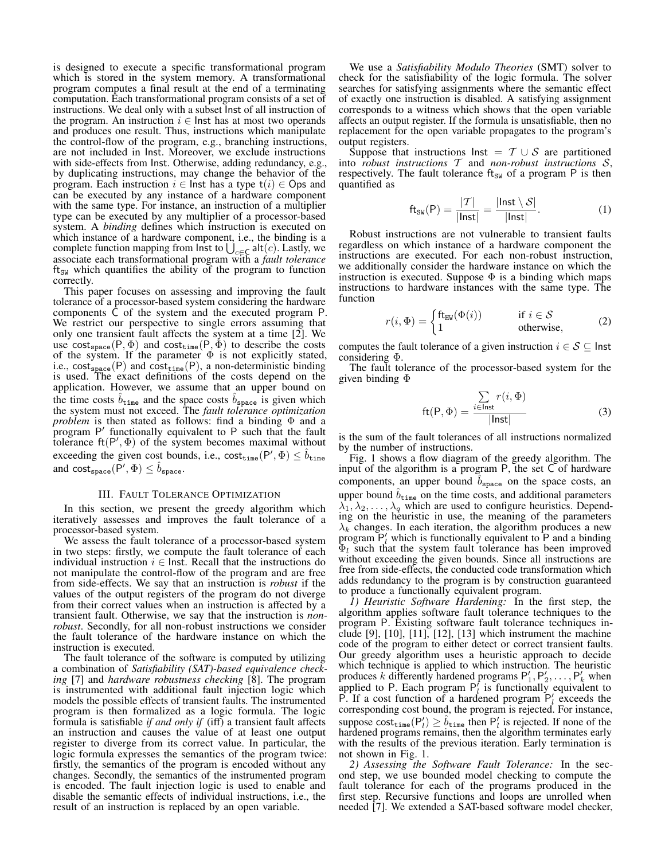is designed to execute a specific transformational program which is stored in the system memory. A transformational program computes a final result at the end of a terminating computation. Each transformational program consists of a set of instructions. We deal only with a subset Inst of all instruction of the program. An instruction  $i \in$  lnst has at most two operands and produces one result. Thus, instructions which manipulate the control-flow of the program, e.g., branching instructions, are not included in Inst. Moreover, we exclude instructions with side-effects from Inst. Otherwise, adding redundancy, e.g., by duplicating instructions, may change the behavior of the program. Each instruction  $i \in$  lnst has a type  $t(i) \in \mathbb{O}$  ps and can be executed by any instance of a hardware component with the same type. For instance, an instruction of a multiplier type can be executed by any multiplier of a processor-based system. A *binding* defines which instruction is executed on which instance of a hardware component, i.e., the binding is a complete function mapping from lnst to  $\bigcup_{c \in \mathsf{C}} \mathsf{alt}(c)$ . Lastly, we associate each transformational program with a *fault tolerance*  $\text{ft}_{\text{SW}}$  which quantifies the ability of the program to function correctly.

This paper focuses on assessing and improving the fault tolerance of a processor-based system considering the hardware components C of the system and the executed program P. We restrict our perspective to single errors assuming that only one transient fault affects the system at a time [2]. We use cost<sub>space</sub>(P,  $\Phi$ ) and cost<sub>time</sub>(P,  $\Phi$ ) to describe the costs of the system. If the parameter  $\Phi$  is not explicitly stated, i.e.,  $cost_{space}(P)$  and  $cost_{time}(P)$ , a non-deterministic binding is used. The exact definitions of the costs depend on the application. However, we assume that an upper bound on the time costs  $\hat{b}_{\text{time}}$  and the space costs  $\hat{b}_{\text{space}}$  is given which the system must not exceed. The *fault tolerance optimization problem* is then stated as follows: find a binding Φ and a program P' functionally equivalent to P such that the fault tolerance  $\text{ft}(P', \Phi)$  of the system becomes maximal without exceeding the given cost bounds, i.e.,  $\text{cost}_{\text{time}}(P', \Phi) \leq \hat{b}_{\text{time}}$ and  $\textsf{cost}_{\texttt{space}}(P', \Phi) \leq \hat{b}_{\texttt{space}}$ .

## III. FAULT TOLERANCE OPTIMIZATION

In this section, we present the greedy algorithm which iteratively assesses and improves the fault tolerance of a processor-based system.

We assess the fault tolerance of a processor-based system in two steps: firstly, we compute the fault tolerance of each individual instruction  $i \in$  Inst. Recall that the instructions do not manipulate the control-flow of the program and are free from side-effects. We say that an instruction is *robust* if the values of the output registers of the program do not diverge from their correct values when an instruction is affected by a transient fault. Otherwise, we say that the instruction is *nonrobust*. Secondly, for all non-robust instructions we consider the fault tolerance of the hardware instance on which the instruction is executed.

The fault tolerance of the software is computed by utilizing a combination of *Satisfiability (SAT)-based equivalence checking* [7] and *hardware robustness checking* [8]. The program is instrumented with additional fault injection logic which models the possible effects of transient faults. The instrumented program is then formalized as a logic formula. The logic formula is satisfiable *if and only if* (iff) a transient fault affects an instruction and causes the value of at least one output register to diverge from its correct value. In particular, the logic formula expresses the semantics of the program twice: firstly, the semantics of the program is encoded without any changes. Secondly, the semantics of the instrumented program is encoded. The fault injection logic is used to enable and disable the semantic effects of individual instructions, i.e., the result of an instruction is replaced by an open variable.

We use a *Satisfiability Modulo Theories* (SMT) solver to check for the satisfiability of the logic formula. The solver searches for satisfying assignments where the semantic effect of exactly one instruction is disabled. A satisfying assignment corresponds to a witness which shows that the open variable affects an output register. If the formula is unsatisfiable, then no replacement for the open variable propagates to the program's output registers.

Suppose that instructions lnst =  $T \cup S$  are partitioned into *robust instructions* T and *non-robust instructions* S, respectively. The fault tolerance  $\text{ft}_{\text{SW}}$  of a program P is then quantified as

$$
\mathrm{ft}_{\mathrm{SW}}(\mathsf{P}) = \frac{|\mathcal{T}|}{|\mathsf{Inst}|} = \frac{|\mathsf{Inst} \setminus \mathcal{S}|}{|\mathsf{Inst}|}. \tag{1}
$$

Robust instructions are not vulnerable to transient faults regardless on which instance of a hardware component the instructions are executed. For each non-robust instruction, we additionally consider the hardware instance on which the instruction is executed. Suppose  $\Phi$  is a binding which maps instructions to hardware instances with the same type. The function

$$
r(i, \Phi) = \begin{cases} \text{ft}_{\text{HW}}(\Phi(i)) & \text{if } i \in \mathcal{S} \\ 1 & \text{otherwise,} \end{cases} \tag{2}
$$

computes the fault tolerance of a given instruction  $i \in S \subseteq$  Inst considering Φ.

The fault tolerance of the processor-based system for the given binding Φ

$$
ft(P, \Phi) = \frac{\sum_{i \in Inst} r(i, \Phi)}{||nst|}
$$
 (3)

is the sum of the fault tolerances of all instructions normalized by the number of instructions.

Fig. 1 shows a flow diagram of the greedy algorithm. The input of the algorithm is a program P, the set C of hardware components, an upper bound  $b_{\text{space}}$  on the space costs, an upper bound  $\hat{b}_{\text{time}}$  on the time costs, and additional parameters  $\lambda_1, \lambda_2, \ldots, \lambda_q$  which are used to configure heuristics. Depending on the heuristic in use, the meaning of the parameters  $\lambda_k$  changes. In each iteration, the algorithm produces a new program  $P_l$  which is functionally equivalent to P and a binding  $\Phi_l$  such that the system fault tolerance has been improved without exceeding the given bounds. Since all instructions are free from side-effects, the conducted code transformation which adds redundancy to the program is by construction guaranteed to produce a functionally equivalent program.

*1) Heuristic Software Hardening:* In the first step, the algorithm applies software fault tolerance techniques to the program P. Existing software fault tolerance techniques include [9],  $[10]$ ,  $[11]$ ,  $[12]$ ,  $[13]$  which instrument the machine code of the program to either detect or correct transient faults. Our greedy algorithm uses a heuristic approach to decide which technique is applied to which instruction. The heuristic produces k differently hardened programs  $P'_1, P'_2, \ldots, P'_k$  when applied to P. Each program  $P_l^f$  is functionally equivalent to P. If a cost function of a hardened program  $P'_l$  exceeds the corresponding cost bound, the program is rejected. For instance, suppose  $cost_{time}(P'_l) \geq \hat{b}_{time}$  then  $P'_l$  is rejected. If none of the hardened programs remains, then the algorithm terminates early with the results of the previous iteration. Early termination is not shown in Fig. 1.

*2) Assessing the Software Fault Tolerance:* In the second step, we use bounded model checking to compute the fault tolerance for each of the programs produced in the first step. Recursive functions and loops are unrolled when needed [7]. We extended a SAT-based software model checker,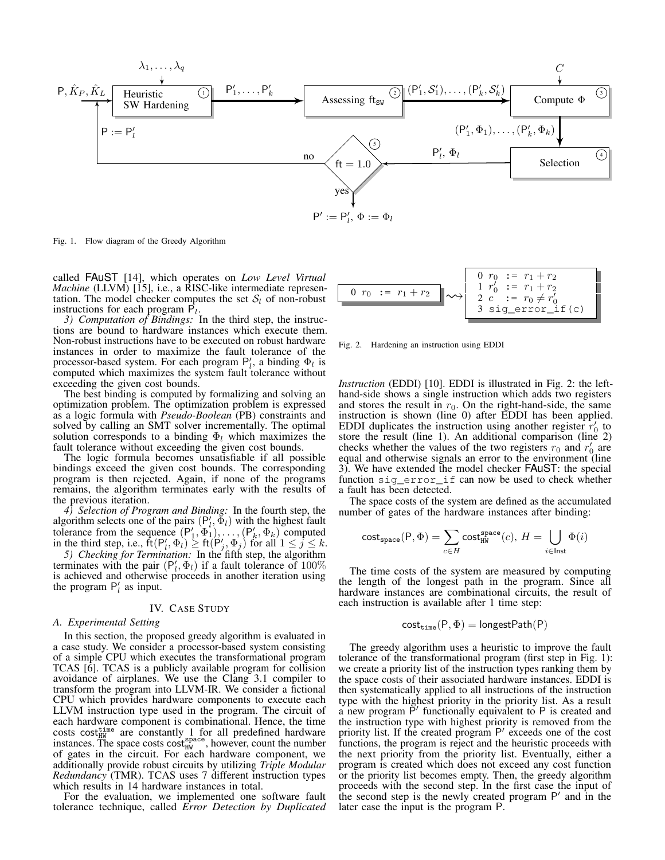

Fig. 1. Flow diagram of the Greedy Algorithm

called FAuST [14], which operates on *Low Level Virtual Machine* (LLVM) [15], i.e., a RISC-like intermediate representation. The model checker computes the set  $S_l$  of non-robust instructions for each program  $\overline{P}_l$ .

*3) Computation of Bindings:* In the third step, the instructions are bound to hardware instances which execute them. Non-robust instructions have to be executed on robust hardware instances in order to maximize the fault tolerance of the processor-based system. For each program  $P'_l$ , a binding  $\Phi_l$  is computed which maximizes the system fault tolerance without exceeding the given cost bounds.

The best binding is computed by formalizing and solving an optimization problem. The optimization problem is expressed as a logic formula with *Pseudo-Boolean* (PB) constraints and solved by calling an SMT solver incrementally. The optimal solution corresponds to a binding  $\Phi_l$  which maximizes the fault tolerance without exceeding the given cost bounds.

The logic formula becomes unsatisfiable if all possible bindings exceed the given cost bounds. The corresponding program is then rejected. Again, if none of the programs remains, the algorithm terminates early with the results of the previous iteration.

*4) Selection of Program and Binding:* In the fourth step, the algorithm selects one of the pairs  $(P'_l, \Phi_l)$  with the highest fault definition selects one of the pairs  $(\mathbf{r}_1, \Phi_1), \dots, (\mathbf{P}_k, \Phi_k)$  computed tolerance from the sequence  $(\mathbf{P}_1', \Phi_1), \dots, (\mathbf{P}_k', \Phi_k)$  computed in the third step, i.e.,  $\mathsf{ft}(\mathsf{P}'_l, \Phi_l) \geq \mathsf{ft}(\mathsf{P}'_j, \Phi_j)$  for all  $1 \leq j \leq k$ .

*5) Checking for Termination:* In the fifth step, the algorithm terminates with the pair  $(P'_l, \Phi_l)$  if a fault tolerance of 100% is achieved and otherwise proceeds in another iteration using the program  $P'_l$  as input.

## IV. CASE STUDY

## *A. Experimental Setting*

In this section, the proposed greedy algorithm is evaluated in a case study. We consider a processor-based system consisting of a simple CPU which executes the transformational program TCAS [6]. TCAS is a publicly available program for collision avoidance of airplanes. We use the Clang 3.1 compiler to transform the program into LLVM-IR. We consider a fictional CPU which provides hardware components to execute each LLVM instruction type used in the program. The circuit of each hardware component is combinational. Hence, the time costs cost  $\frac{H_W}{H_W}$  are constantly 1 for all predefined hardware instances. The space costs cost<sup>space</sup>, however, count the number of gates in the circuit. For each hardware component, we additionally provide robust circuits by utilizing *Triple Modular Redundancy* (TMR). TCAS uses 7 different instruction types which results in 14 hardware instances in total.

For the evaluation, we implemented one software fault tolerance technique, called *Error Detection by Duplicated*



Fig. 2. Hardening an instruction using EDDI

*Instruction* (EDDI) [10]. EDDI is illustrated in Fig. 2: the lefthand-side shows a single instruction which adds two registers and stores the result in  $r_0$ . On the right-hand-side, the same instruction is shown (line 0) after EDDI has been applied. EDDI duplicates the instruction using another register  $r'_0$  to store the result (line 1). An additional comparison (line 2) checks whether the values of the two registers  $r_0$  and  $r'_0$  are equal and otherwise signals an error to the environment (line 3). We have extended the model checker FAuST: the special function sig\_error\_if can now be used to check whether a fault has been detected.

The space costs of the system are defined as the accumulated number of gates of the hardware instances after binding:

$$
\mathrm{cost}_{\mathrm{space}}(\mathsf{P}, \Phi) = \sum_{c \in H} \mathrm{cost}_{\mathrm{HW}}^{\mathrm{space}}(c), \, H = \bigcup_{i \in \text{Inst}} \Phi(i)
$$

The time costs of the system are measured by computing the length of the longest path in the program. Since all hardware instances are combinational circuits, the result of each instruction is available after 1 time step:

$$
\mathsf{cost_{time}}(P, \Phi) = \mathsf{longestPath}(P)
$$

The greedy algorithm uses a heuristic to improve the fault tolerance of the transformational program (first step in Fig. 1): we create a priority list of the instruction types ranking them by the space costs of their associated hardware instances. EDDI is then systematically applied to all instructions of the instruction type with the highest priority in the priority list. As a result a new program  $\overline{P}'$  functionally equivalent to P is created and the instruction type with highest priority is removed from the priority list. If the created program P' exceeds one of the cost functions, the program is reject and the heuristic proceeds with the next priority from the priority list. Eventually, either a program is created which does not exceed any cost function or the priority list becomes empty. Then, the greedy algorithm proceeds with the second step. In the first case the input of the second step is the newly created program  $P'$  and in the later case the input is the program P.